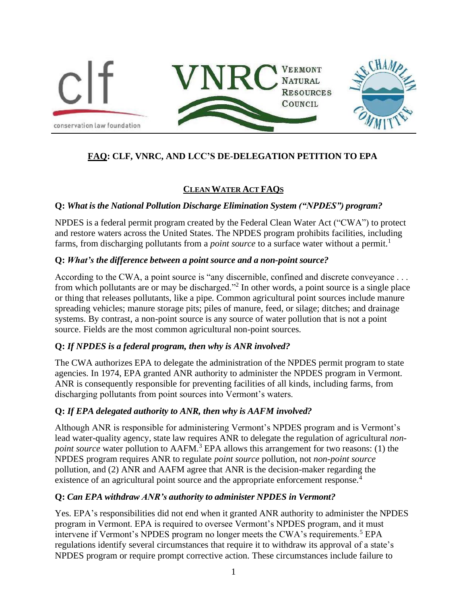

# **FAQ: CLF, VNRC, AND LCC'S DE-DELEGATION PETITION TO EPA**

# **CLEANWATER ACT FAQS**

### **Q:** *What is the National Pollution Discharge Elimination System ("NPDES") program?*

NPDES is a federal permit program created by the Federal Clean Water Act ("CWA") to protect and restore waters across the United States. The NPDES program prohibits facilities, including farms, from discharging pollutants from a *point source* to a surface water without a permit.<sup>1</sup>

### **Q:** *What's the difference between a point source and a non-point source?*

According to the CWA, a point source is "any discernible, confined and discrete conveyance . . . from which pollutants are or may be discharged."<sup>2</sup> In other words, a point source is a single place or thing that releases pollutants, like a pipe. Common agricultural point sources include manure spreading vehicles; manure storage pits; piles of manure, feed, or silage; ditches; and drainage systems. By contrast, a non-point source is any source of water pollution that is not a point source. Fields are the most common agricultural non-point sources.

# **Q:** *If NPDES is a federal program, then why is ANR involved?*

The CWA authorizes EPA to delegate the administration of the NPDES permit program to state agencies. In 1974, EPA granted ANR authority to administer the NPDES program in Vermont. ANR is consequently responsible for preventing facilities of all kinds, including farms, from discharging pollutants from point sources into Vermont's waters.

### **Q:** *If EPA delegated authority to ANR, then why is AAFM involved?*

Although ANR is responsible for administering Vermont's NPDES program and is Vermont's lead water-quality agency, state law requires ANR to delegate the regulation of agricultural *nonpoint source* water pollution to AAFM.<sup>3</sup> EPA allows this arrangement for two reasons: (1) the NPDES program requires ANR to regulate *point source* pollution, not *non-point source*  pollution, and (2) ANR and AAFM agree that ANR is the decision-maker regarding the existence of an agricultural point source and the appropriate enforcement response.<sup>4</sup>

### **Q:** *Can EPA withdraw ANR's authority to administer NPDES in Vermont?*

Yes. EPA's responsibilities did not end when it granted ANR authority to administer the NPDES program in Vermont. EPA is required to oversee Vermont's NPDES program, and it must intervene if Vermont's NPDES program no longer meets the CWA's requirements.<sup>5</sup> EPA regulations identify several circumstances that require it to withdraw its approval of a state's NPDES program or require prompt corrective action. These circumstances include failure to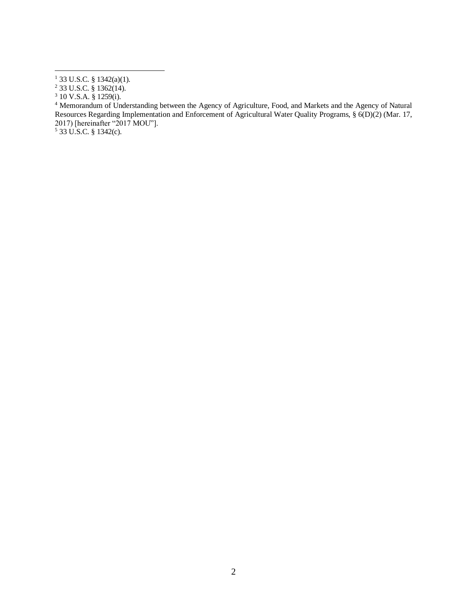<sup>4</sup> Memorandum of Understanding between the Agency of Agriculture, Food, and Markets and the Agency of Natural Resources Regarding Implementation and Enforcement of Agricultural Water Quality Programs, § 6(D)(2) (Mar. 17, 2017) [hereinafter "2017 MOU"].

33 U.S.C. § 1342(c).

33 U.S.C. § 1342(a)(1).

33 U.S.C. § 1362(14).

10 V.S.A. § 1259(i).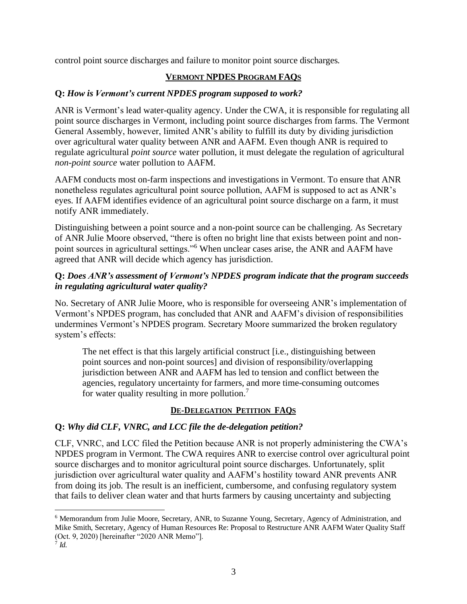control point source discharges and failure to monitor point source discharges.

#### **VERMONT NPDES PROGRAM FAQS**

#### **Q:** *How is Vermont's current NPDES program supposed to work?*

ANR is Vermont's lead water-quality agency. Under the CWA, it is responsible for regulating all point source discharges in Vermont, including point source discharges from farms. The Vermont General Assembly, however, limited ANR's ability to fulfill its duty by dividing jurisdiction over agricultural water quality between ANR and AAFM. Even though ANR is required to regulate agricultural *point source* water pollution, it must delegate the regulation of agricultural *non-point source* water pollution to AAFM.

AAFM conducts most on-farm inspections and investigations in Vermont. To ensure that ANR nonetheless regulates agricultural point source pollution, AAFM is supposed to act as ANR's eyes. If AAFM identifies evidence of an agricultural point source discharge on a farm, it must notify ANR immediately.

Distinguishing between a point source and a non-point source can be challenging. As Secretary of ANR Julie Moore observed, "there is often no bright line that exists between point and nonpoint sources in agricultural settings."<sup>6</sup> When unclear cases arise, the ANR and AAFM have agreed that ANR will decide which agency has jurisdiction.

#### **Q:** *Does ANR's assessment of Vermont's NPDES program indicate that the program succeeds in regulating agricultural water quality?*

No. Secretary of ANR Julie Moore, who is responsible for overseeing ANR's implementation of Vermont's NPDES program, has concluded that ANR and AAFM's division of responsibilities undermines Vermont's NPDES program. Secretary Moore summarized the broken regulatory system's effects:

The net effect is that this largely artificial construct [i.e., distinguishing between point sources and non-point sources] and division of responsibility/overlapping jurisdiction between ANR and AAFM has led to tension and conflict between the agencies, regulatory uncertainty for farmers, and more time-consuming outcomes for water quality resulting in more pollution.<sup>7</sup>

# **DE-DELEGATION PETITION FAQS**

# **Q:** *Why did CLF, VNRC, and LCC file the de-delegation petition?*

CLF, VNRC, and LCC filed the Petition because ANR is not properly administering the CWA's NPDES program in Vermont. The CWA requires ANR to exercise control over agricultural point source discharges and to monitor agricultural point source discharges. Unfortunately, split jurisdiction over agricultural water quality and AAFM's hostility toward ANR prevents ANR from doing its job. The result is an inefficient, cumbersome, and confusing regulatory system that fails to deliver clean water and that hurts farmers by causing uncertainty and subjecting

<sup>6</sup> Memorandum from Julie Moore, Secretary, ANR, to Suzanne Young, Secretary, Agency of Administration, and Mike Smith, Secretary, Agency of Human Resources Re: Proposal to Restructure ANR AAFM Water Quality Staff (Oct. 9, 2020) [hereinafter "2020 ANR Memo"]. 7 *Id.*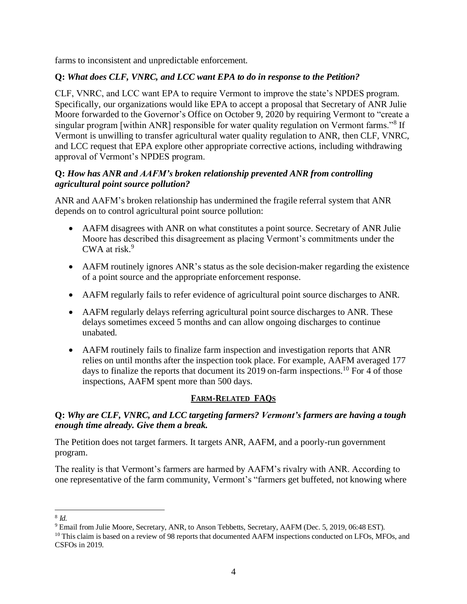farms to inconsistent and unpredictable enforcement.

### **Q:** *What does CLF, VNRC, and LCC want EPA to do in response to the Petition?*

CLF, VNRC, and LCC want EPA to require Vermont to improve the state's NPDES program. Specifically, our organizations would like EPA to accept a proposal that Secretary of ANR Julie Moore forwarded to the Governor's Office on October 9, 2020 by requiring Vermont to "create a singular program [within ANR] responsible for water quality regulation on Vermont farms."<sup>8</sup> If Vermont is unwilling to transfer agricultural water quality regulation to ANR, then CLF, VNRC, and LCC request that EPA explore other appropriate corrective actions, including withdrawing approval of Vermont's NPDES program.

### **Q:** *How has ANR and AAFM's broken relationship prevented ANR from controlling agricultural point source pollution?*

ANR and AAFM's broken relationship has undermined the fragile referral system that ANR depends on to control agricultural point source pollution:

- AAFM disagrees with ANR on what constitutes a point source. Secretary of ANR Julie Moore has described this disagreement as placing Vermont's commitments under the CWA at risk.<sup>9</sup>
- AAFM routinely ignores ANR's status as the sole decision-maker regarding the existence of a point source and the appropriate enforcement response.
- AAFM regularly fails to refer evidence of agricultural point source discharges to ANR.
- AAFM regularly delays referring agricultural point source discharges to ANR. These delays sometimes exceed 5 months and can allow ongoing discharges to continue unabated.
- AAFM routinely fails to finalize farm inspection and investigation reports that ANR relies on until months after the inspection took place. For example, AAFM averaged 177 days to finalize the reports that document its 2019 on-farm inspections.<sup>10</sup> For 4 of those inspections, AAFM spent more than 500 days.

# **FARM-RELATED FAQS**

### **Q:** *Why are CLF, VNRC, and LCC targeting farmers? Vermont's farmers are having a tough enough time already. Give them a break.*

The Petition does not target farmers. It targets ANR, AAFM, and a poorly-run government program.

The reality is that Vermont's farmers are harmed by AAFM's rivalry with ANR. According to one representative of the farm community, Vermont's "farmers get buffeted, not knowing where

<sup>8</sup> *Id.*

<sup>&</sup>lt;sup>9</sup> Email from Julie Moore, Secretary, ANR, to Anson Tebbetts, Secretary, AAFM (Dec. 5, 2019, 06:48 EST).

<sup>&</sup>lt;sup>10</sup> This claim is based on a review of 98 reports that documented AAFM inspections conducted on LFOs, MFOs, and CSFOs in 2019.